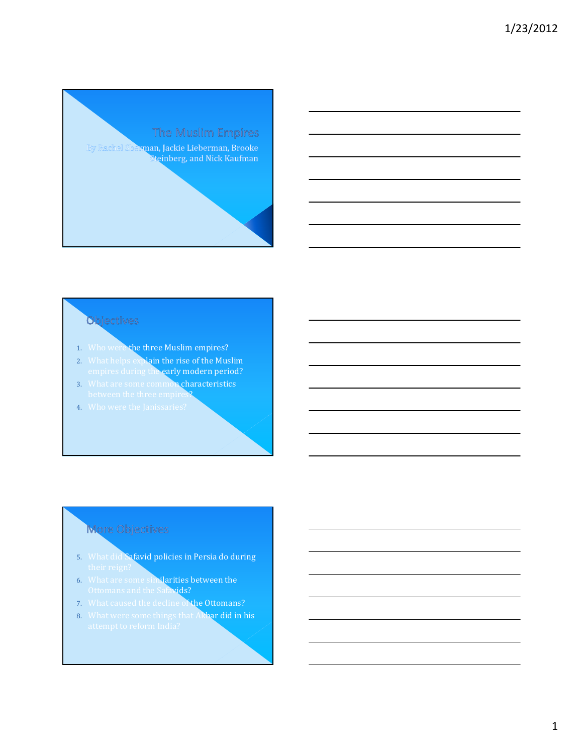

### **Objectives**

- 1. Who were the three Muslim empires?
- 2. What helps explain the rise of the Muslim empires during the early modern period?
- 3. What are some common characteristics between the three empires?
- 4. Who were the Janissaries?

## More Objectives

- 5. What did Safavid policies in Persia do during
- 6. What are some similarities between the Ottomans and the Safavids?
- 7. What caused the decline of the Ottomans?
- 8. What were some things that Akbar did in his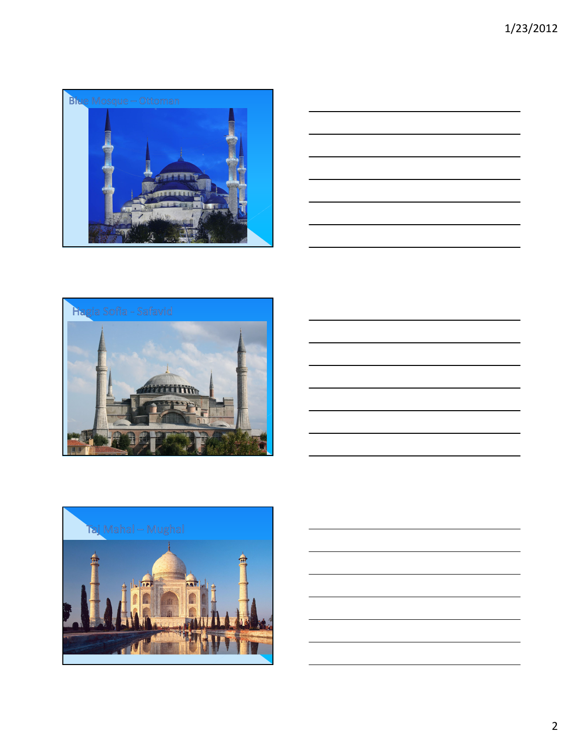







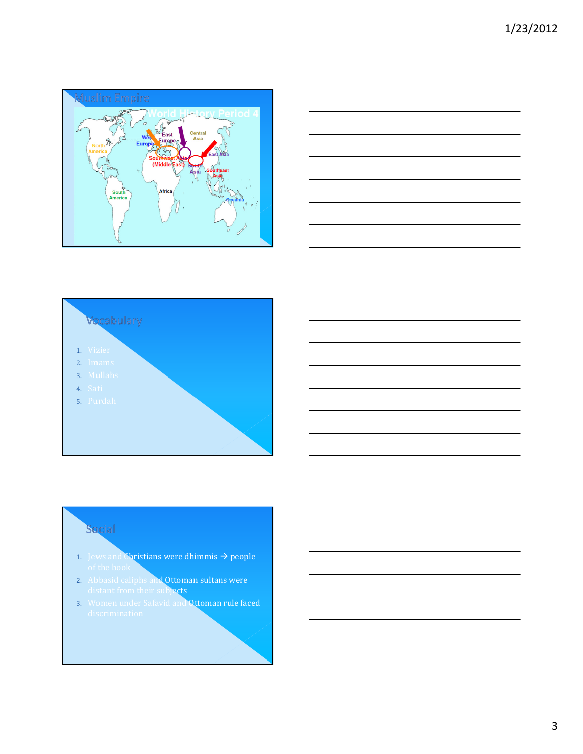





#### Social

- 1. Jews and Christians were dhimmis  $\rightarrow$  people
- 2. Abbasid caliphs and Ottoman sultans were distant from their subjects
- 3. Women under Safavid and Ottoman rule faced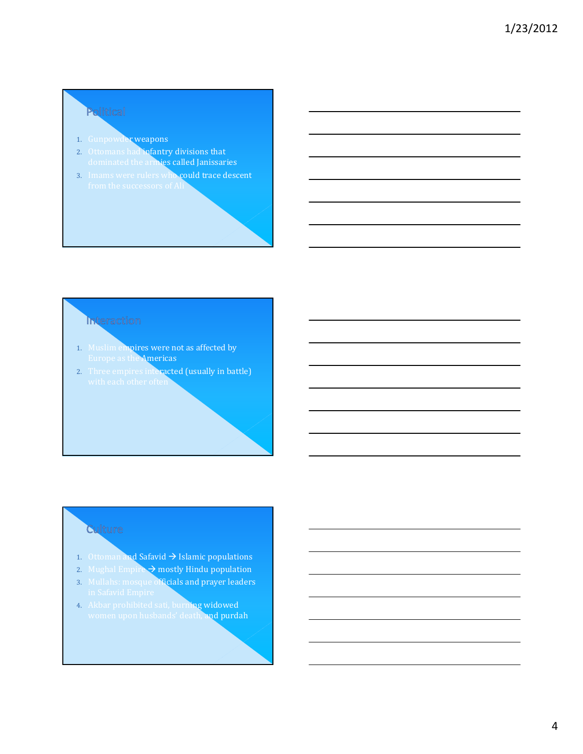# Political

- 1. Gunpowder weapons
- 2. Ottomans had infantry divisions that dominated the armies called Janissaries
- 3. Imams were rulers who could trace descent

## Interaction

- 1. Muslim empires were not as affected by Europe as the Americas
- 2. Three empires interacted (usually in battle)

### **Culture**

- 1. Ottoman and Safavid  $\rightarrow$  Islamic populations
- 2. Mughal Empire  $\rightarrow$  mostly Hindu population
- 3. Mullahs: mosque officials and prayer leaders
- 4. Akbar prohibited sati, burning widowed women upon husbands' death, and purdah